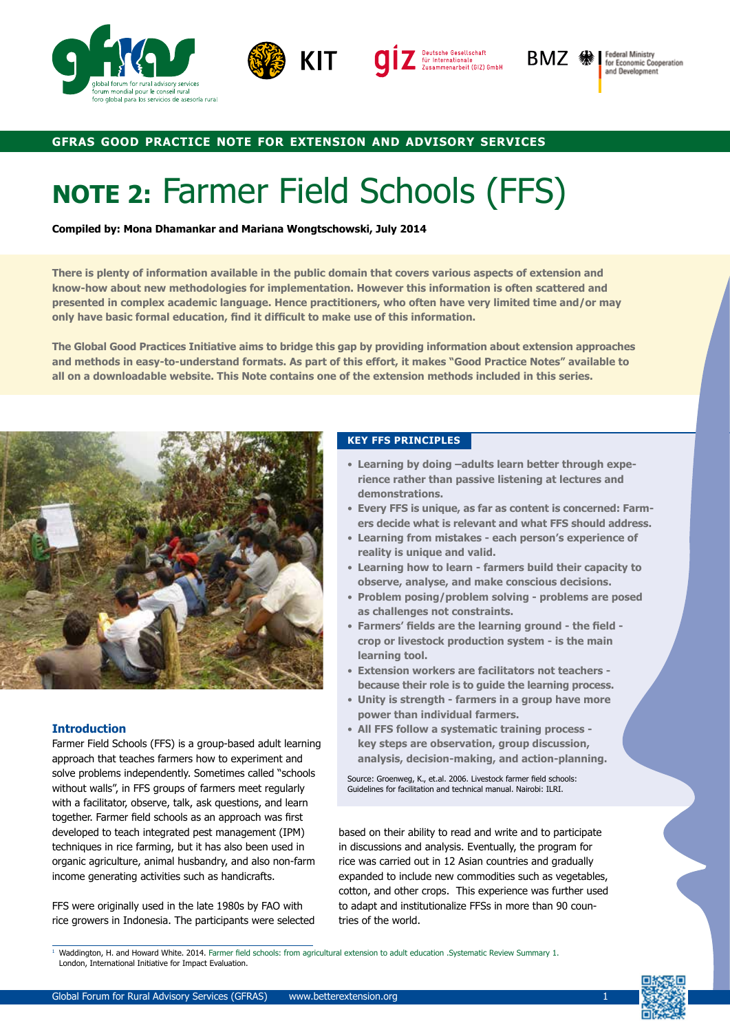





Federal Ministry<br>for Economic Cooperation and Development

# **gfras good practice note for extension and advisory services**

# **NOTE 2:** Farmer Field Schools (FFS)

**Compiled by: Mona Dhamankar and Mariana Wongtschowski, July 2014**

**There is plenty of information available in the public domain that covers various aspects of extension and know-how about new methodologies for implementation. However this information is often scattered and presented in complex academic language. Hence practitioners, who often have very limited time and/or may only have basic formal education, find it difficult to make use of this information.** 

**The Global Good Practices Initiative aims to bridge this gap by providing information about extension approaches and methods in easy-to-understand formats. As part of this effort, it makes "Good Practice Notes" available to all on a downloadable website. This Note contains one of the extension methods included in this series.**



## **Introduction**

Farmer Field Schools (FFS) is a group-based adult learning approach that teaches farmers how to experiment and solve problems independently. Sometimes called "schools without walls", in FFS groups of farmers meet regularly with a facilitator, observe, talk, ask questions, and learn together. Farmer field schools as an approach was first developed to teach integrated pest management (IPM) techniques in rice farming, but it has also been used in organic agriculture, animal husbandry, and also non-farm income generating activities such as handicrafts.

FFS were originally used in the late 1980s by FAO with rice growers in Indonesia. The participants were selected

### **KEY FFS PRINCIPLES**

- **Learning by doing –adults learn better through experience rather than passive listening at lectures and demonstrations.**
- **Every FFS is unique, as far as content is concerned: Farmers decide what is relevant and what FFS should address.**
- **Learning from mistakes each person's experience of reality is unique and valid.**
- **Learning how to learn farmers build their capacity to observe, analyse, and make conscious decisions.**
- **Problem posing/problem solving problems are posed as challenges not constraints.**
- **Farmers' fields are the learning ground the field crop or livestock production system - is the main learning tool.**
- **Extension workers are facilitators not teachers because their role is to guide the learning process.**
- **Unity is strength farmers in a group have more power than individual farmers.**
- **All FFS follow a systematic training process key steps are observation, group discussion, analysis, decision-making, and action-planning.**

Source: Groenweg, K., et.al. 2006. Livestock farmer field schools: Guidelines for facilitation and technical manual. Nairobi: ILRI.

based on their ability to read and write and to participate in discussions and analysis. Eventually, the program for rice was carried out in 12 Asian countries and gradually expanded to include new commodities such as vegetables, cotton, and other crops. This experience was further used to adapt and institutionalize FFSs in more than 90 countries of the world.

<sup>1</sup> Waddington, H. and Howard White. 2014. Farmer field schools: from agricultural extension to adult education .Systematic Review Summary 1. London, International Initiative for Impact Evaluation.

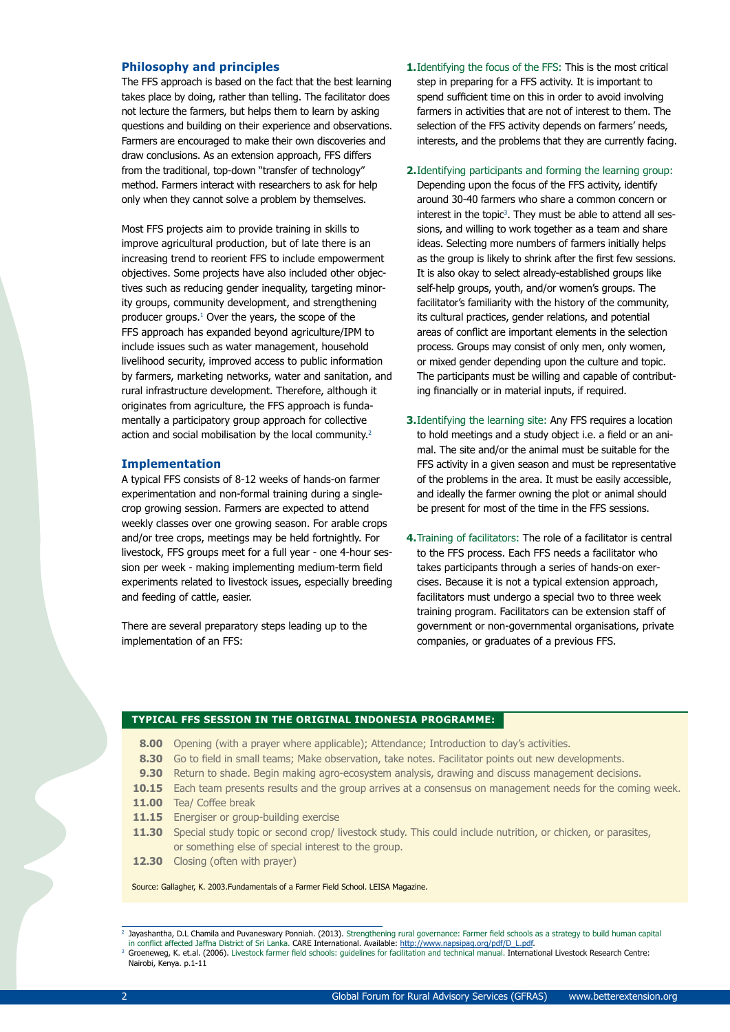#### **Philosophy and principles**

The FFS approach is based on the fact that the best learning takes place by doing, rather than telling. The facilitator does not lecture the farmers, but helps them to learn by asking questions and building on their experience and observations. Farmers are encouraged to make their own discoveries and draw conclusions. As an extension approach, FFS differs from the traditional, top-down "transfer of technology" method. Farmers interact with researchers to ask for help only when they cannot solve a problem by themselves.

Most FFS projects aim to provide training in skills to improve agricultural production, but of late there is an increasing trend to reorient FFS to include empowerment objectives. Some projects have also included other objectives such as reducing gender inequality, targeting minority groups, community development, and strengthening producer groups.1 Over the years, the scope of the FFS approach has expanded beyond agriculture/IPM to include issues such as water management, household livelihood security, improved access to public information by farmers, marketing networks, water and sanitation, and rural infrastructure development. Therefore, although it originates from agriculture, the FFS approach is fundamentally a participatory group approach for collective action and social mobilisation by the local community.<sup>2</sup>

## **Implementation**

A typical FFS consists of 8-12 weeks of hands-on farmer experimentation and non-formal training during a singlecrop growing session. Farmers are expected to attend weekly classes over one growing season. For arable crops and/or tree crops, meetings may be held fortnightly. For livestock, FFS groups meet for a full year - one 4-hour session per week - making implementing medium-term field experiments related to livestock issues, especially breeding and feeding of cattle, easier.

There are several preparatory steps leading up to the implementation of an FFS:

- **1.** Identifying the focus of the FFS: This is the most critical step in preparing for a FFS activity. It is important to spend sufficient time on this in order to avoid involving farmers in activities that are not of interest to them. The selection of the FFS activity depends on farmers' needs, interests, and the problems that they are currently facing.
- **2.**Identifying participants and forming the learning group: Depending upon the focus of the FFS activity, identify around 30-40 farmers who share a common concern or interest in the topic $3$ . They must be able to attend all sessions, and willing to work together as a team and share ideas. Selecting more numbers of farmers initially helps as the group is likely to shrink after the first few sessions. It is also okay to select already-established groups like self-help groups, youth, and/or women's groups. The facilitator's familiarity with the history of the community, its cultural practices, gender relations, and potential areas of conflict are important elements in the selection process. Groups may consist of only men, only women, or mixed gender depending upon the culture and topic. The participants must be willing and capable of contributing financially or in material inputs, if required.
- **3.** Identifying the learning site: Any FFS requires a location to hold meetings and a study object i.e. a field or an animal. The site and/or the animal must be suitable for the FFS activity in a given season and must be representative of the problems in the area. It must be easily accessible, and ideally the farmer owning the plot or animal should be present for most of the time in the FFS sessions.
- **4.** Training of facilitators: The role of a facilitator is central to the FFS process. Each FFS needs a facilitator who takes participants through a series of hands-on exercises. Because it is not a typical extension approach, facilitators must undergo a special two to three week training program. Facilitators can be extension staff of government or non-governmental organisations, private companies, or graduates of a previous FFS.

#### **TYPICAL FFS SESSION IN THE ORIGINAL INDONESIA PROGRAMME:**

- 8.00 Opening (with a prayer where applicable); Attendance; Introduction to day's activities.
- 8.30 Go to field in small teams; Make observation, take notes. Facilitator points out new developments.
- **9.30** Return to shade. Begin making agro-ecosystem analysis, drawing and discuss management decisions.
- **10.15** Each team presents results and the group arrives at a consensus on management needs for the coming week.
- 11.00 Tea/ Coffee break
- **11.15** Energiser or group-building exercise
- **11.30** Special study topic or second crop/ livestock study. This could include nutrition, or chicken, or parasites, or something else of special interest to the group.
- **12.30** Closing (often with prayer)

Source: Gallagher, K. 2003.Fundamentals of a Farmer Field School. LEISA Magazine.

Jayashantha, D.L Chamila and Puvaneswary Ponniah. (2013). Strengthening rural governance: Farmer field schools as a strategy to build human capital

in conflict affected Jaffna District of Sri Lanka. **CARE International. Available:** <u>http://www.napsipag.org/pdf/D\_L.pdf</u>.<br><sup>3</sup> Groeneweg, K. et.al. (2006). Livestock farmer field schools: guidelines for facilitation and te Nairobi, Kenya. p.1-11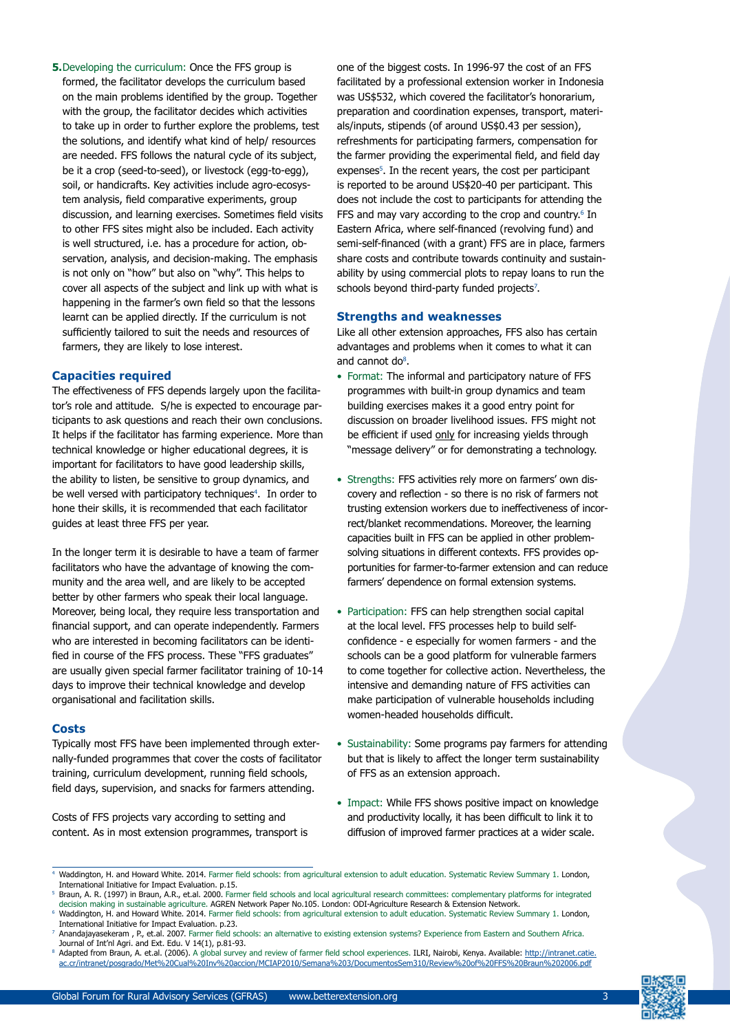formed, the facilitator develops the curriculum based on the main problems identified by the group. Together with the group, the facilitator decides which activities to take up in order to further explore the problems, test the solutions, and identify what kind of help/ resources are needed. FFS follows the natural cycle of its subject, be it a crop (seed-to-seed), or livestock (egg-to-egg), soil, or handicrafts. Key activities include agro-ecosystem analysis, field comparative experiments, group discussion, and learning exercises. Sometimes field visits to other FFS sites might also be included. Each activity is well structured, i.e. has a procedure for action, observation, analysis, and decision-making. The emphasis is not only on "how" but also on "why". This helps to cover all aspects of the subject and link up with what is happening in the farmer's own field so that the lessons learnt can be applied directly. If the curriculum is not sufficiently tailored to suit the needs and resources of farmers, they are likely to lose interest.

**5.** Developing the curriculum: Once the FFS group is

# **Capacities required**

The effectiveness of FFS depends largely upon the facilitator's role and attitude. S/he is expected to encourage participants to ask questions and reach their own conclusions. It helps if the facilitator has farming experience. More than technical knowledge or higher educational degrees, it is important for facilitators to have good leadership skills, the ability to listen, be sensitive to group dynamics, and be well versed with participatory techniques<sup>4</sup>. In order to hone their skills, it is recommended that each facilitator guides at least three FFS per year.

In the longer term it is desirable to have a team of farmer facilitators who have the advantage of knowing the community and the area well, and are likely to be accepted better by other farmers who speak their local language. Moreover, being local, they require less transportation and financial support, and can operate independently. Farmers who are interested in becoming facilitators can be identified in course of the FFS process. These "FFS graduates" are usually given special farmer facilitator training of 10-14 days to improve their technical knowledge and develop organisational and facilitation skills.

## **Costs**

Typically most FFS have been implemented through externally-funded programmes that cover the costs of facilitator training, curriculum development, running field schools, field days, supervision, and snacks for farmers attending.

Costs of FFS projects vary according to setting and content. As in most extension programmes, transport is one of the biggest costs. In 1996-97 the cost of an FFS facilitated by a professional extension worker in Indonesia was US\$532, which covered the facilitator's honorarium, preparation and coordination expenses, transport, materials/inputs, stipends (of around US\$0.43 per session), refreshments for participating farmers, compensation for the farmer providing the experimental field, and field day expenses<sup>5</sup>. In the recent years, the cost per participant is reported to be around US\$20-40 per participant. This does not include the cost to participants for attending the FFS and may vary according to the crop and country.<sup>6</sup> In Eastern Africa, where self-financed (revolving fund) and semi-self-financed (with a grant) FFS are in place, farmers share costs and contribute towards continuity and sustainability by using commercial plots to repay loans to run the schools beyond third-party funded projects<sup>7</sup>.

# **Strengths and weaknesses**

Like all other extension approaches, FFS also has certain advantages and problems when it comes to what it can and cannot do<sup>8</sup>.

- Format: The informal and participatory nature of FFS programmes with built-in group dynamics and team building exercises makes it a good entry point for discussion on broader livelihood issues. FFS might not be efficient if used only for increasing yields through "message delivery" or for demonstrating a technology.
- Strengths: FFS activities rely more on farmers' own discovery and reflection - so there is no risk of farmers not trusting extension workers due to ineffectiveness of incorrect/blanket recommendations. Moreover, the learning capacities built in FFS can be applied in other problemsolving situations in different contexts. FFS provides opportunities for farmer-to-farmer extension and can reduce farmers' dependence on formal extension systems.
- Participation: FFS can help strengthen social capital at the local level. FFS processes help to build selfconfidence - e especially for women farmers - and the schools can be a good platform for vulnerable farmers to come together for collective action. Nevertheless, the intensive and demanding nature of FFS activities can make participation of vulnerable households including women-headed households difficult.
- Sustainability: Some programs pay farmers for attending but that is likely to affect the longer term sustainability of FFS as an extension approach.
- Impact: While FFS shows positive impact on knowledge and productivity locally, it has been difficult to link it to diffusion of improved farmer practices at a wider scale.

<sup>8</sup> Adapted from Braun, A. et.al. (2006). A global survey and review of farmer field school experiences. ILRI, Nairobi, Kenya. Available: http://intranet.catie. ac.cr/intranet/posgrado/Met%20Cual%20Inv%20accion/MCIAP2010/Semana%203/DocumentosSem310/Review%20of%20FFS%20Braun%202006.pdf



<sup>4</sup> Waddington, H. and Howard White. 2014. Farmer field schools: from agricultural extension to adult education. Systematic Review Summary 1. London, International Initiative for Impact Evaluation. p.15. Braun, A. R. (1997) in Braun, A.R., et.al. 2000. Farmer field schools and local agricultural research committees: complementary platforms for integrated

decision making in sustainable agriculture. AGREN Network Paper No.105. London: ODI-Agriculture Research & Extension Network.

Waddington, H. and Howard White. 2014. Farmer field schools: from agricultural extension to adult education. Systematic Review Summary 1. London, International Initiative for Impact Evaluation. p.23.

Anandajayasekeram , P., et.al. 2007. Farmer field schools: an alternative to existing extension systems? Experience from Eastern and Southern Africa. Journal of Int'nl Agri. and Ext. Edu. V 14(1), p.81-93.